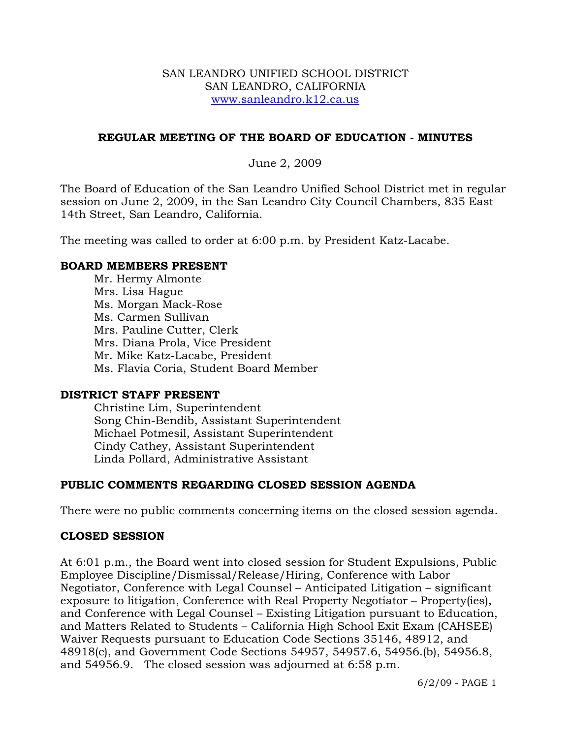#### SAN LEANDRO UNIFIED SCHOOL DISTRICT SAN LEANDRO, CALIFORNIA www.sanleandro.k12.ca.us

### **REGULAR MEETING OF THE BOARD OF EDUCATION - MINUTES**

June 2, 2009

The Board of Education of the San Leandro Unified School District met in regular session on June 2, 2009, in the San Leandro City Council Chambers, 835 East 14th Street, San Leandro, California.

The meeting was called to order at 6:00 p.m. by President Katz-Lacabe.

#### **BOARD MEMBERS PRESENT**

Mr. Hermy Almonte Mrs. Lisa Hague Ms. Morgan Mack-Rose Ms. Carmen Sullivan Mrs. Pauline Cutter, Clerk Mrs. Diana Prola, Vice President Mr. Mike Katz-Lacabe, President Ms. Flavia Coria, Student Board Member

#### **DISTRICT STAFF PRESENT**

Christine Lim, Superintendent Song Chin-Bendib, Assistant Superintendent Michael Potmesil, Assistant Superintendent Cindy Cathey, Assistant Superintendent Linda Pollard, Administrative Assistant

## **PUBLIC COMMENTS REGARDING CLOSED SESSION AGENDA**

There were no public comments concerning items on the closed session agenda.

#### **CLOSED SESSION**

At 6:01 p.m., the Board went into closed session for Student Expulsions, Public Employee Discipline/Dismissal/Release/Hiring, Conference with Labor Negotiator, Conference with Legal Counsel – Anticipated Litigation – significant exposure to litigation, Conference with Real Property Negotiator – Property(ies), and Conference with Legal Counsel – Existing Litigation pursuant to Education, and Matters Related to Students – California High School Exit Exam (CAHSEE) Waiver Requests pursuant to Education Code Sections 35146, 48912, and 48918(c), and Government Code Sections 54957, 54957.6, 54956.(b), 54956.8, and 54956.9. The closed session was adjourned at 6:58 p.m.

6/2/09 - PAGE 1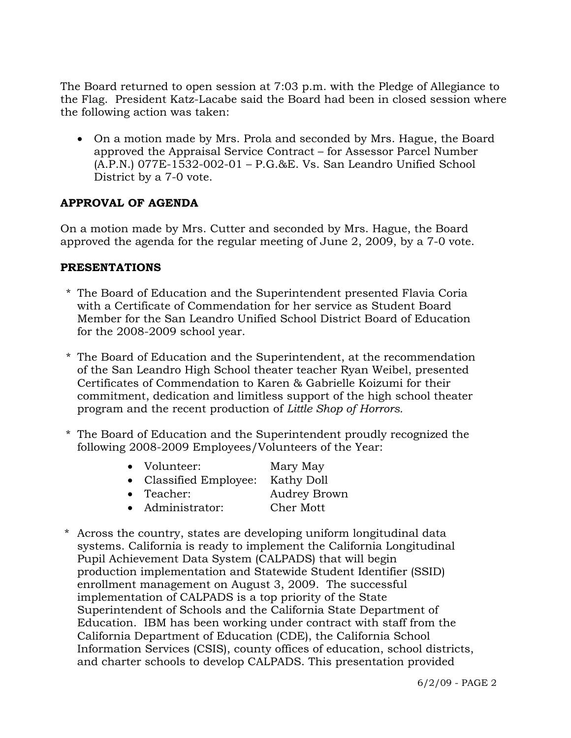The Board returned to open session at 7:03 p.m. with the Pledge of Allegiance to the Flag. President Katz-Lacabe said the Board had been in closed session where the following action was taken:

• On a motion made by Mrs. Prola and seconded by Mrs. Hague, the Board approved the Appraisal Service Contract – for Assessor Parcel Number (A.P.N.) 077E-1532-002-01 – P.G.&E. Vs. San Leandro Unified School District by a 7-0 vote.

## **APPROVAL OF AGENDA**

On a motion made by Mrs. Cutter and seconded by Mrs. Hague, the Board approved the agenda for the regular meeting of June 2, 2009, by a 7-0 vote.

#### **PRESENTATIONS**

- \* The Board of Education and the Superintendent presented Flavia Coria with a Certificate of Commendation for her service as Student Board Member for the San Leandro Unified School District Board of Education for the 2008-2009 school year.
- \* The Board of Education and the Superintendent, at the recommendation of the San Leandro High School theater teacher Ryan Weibel, presented Certificates of Commendation to Karen & Gabrielle Koizumi for their commitment, dedication and limitless support of the high school theater program and the recent production of *Little Shop of Horrors.*
- \* The Board of Education and the Superintendent proudly recognized the following 2008-2009 Employees/Volunteers of the Year:

| $\bullet$ | Volunteer:                      | Mary May |
|-----------|---------------------------------|----------|
| $\bullet$ | Classified Employee: Kathy Doll |          |

- Teacher: Audrey Brown
- Administrator: Cher Mott
- 
- \* Across the country, states are developing uniform longitudinal data systems. California is ready to implement the California Longitudinal Pupil Achievement Data System (CALPADS) that will begin production implementation and Statewide Student Identifier (SSID) enrollment management on August 3, 2009. The successful implementation of CALPADS is a top priority of the State Superintendent of Schools and the California State Department of Education. IBM has been working under contract with staff from the California Department of Education (CDE), the California School Information Services (CSIS), county offices of education, school districts, and charter schools to develop CALPADS. This presentation provided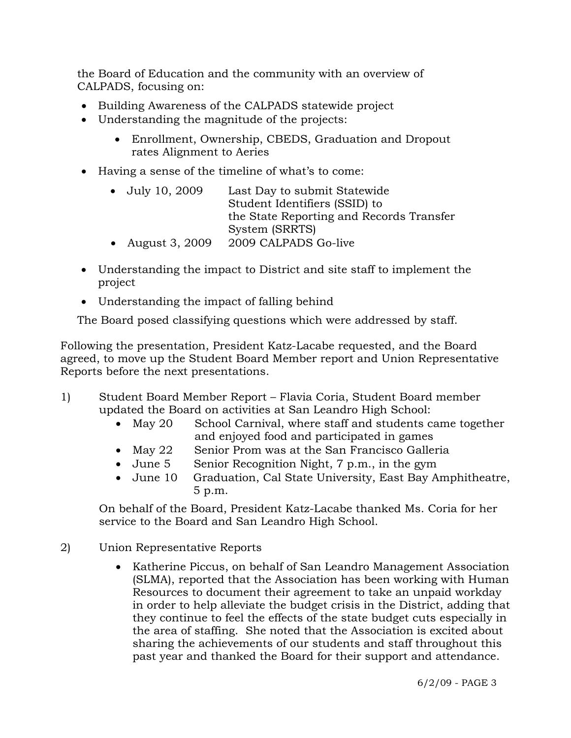the Board of Education and the community with an overview of CALPADS, focusing on:

- Building Awareness of the CALPADS statewide project
- Understanding the magnitude of the projects:
	- Enrollment, Ownership, CBEDS, Graduation and Dropout rates Alignment to Aeries
- Having a sense of the timeline of what's to come:
	- July 10, 2009 Last Day to submit Statewide Student Identifiers (SSID) to the State Reporting and Records Transfer System (SRRTS)
	- August 3, 2009 2009 CALPADS Go-live
- Understanding the impact to District and site staff to implement the project
- Understanding the impact of falling behind

The Board posed classifying questions which were addressed by staff.

Following the presentation, President Katz-Lacabe requested, and the Board agreed, to move up the Student Board Member report and Union Representative Reports before the next presentations.

- 1) Student Board Member Report Flavia Coria, Student Board member updated the Board on activities at San Leandro High School:
	- May 20 School Carnival, where staff and students came together and enjoyed food and participated in games
	- May 22 Senior Prom was at the San Francisco Galleria
	- June 5 Senior Recognition Night, 7 p.m., in the gym
	- June 10 Graduation, Cal State University, East Bay Amphitheatre, 5 p.m.

On behalf of the Board, President Katz-Lacabe thanked Ms. Coria for her service to the Board and San Leandro High School.

- 2) Union Representative Reports
	- Katherine Piccus, on behalf of San Leandro Management Association (SLMA), reported that the Association has been working with Human Resources to document their agreement to take an unpaid workday in order to help alleviate the budget crisis in the District, adding that they continue to feel the effects of the state budget cuts especially in the area of staffing. She noted that the Association is excited about sharing the achievements of our students and staff throughout this past year and thanked the Board for their support and attendance.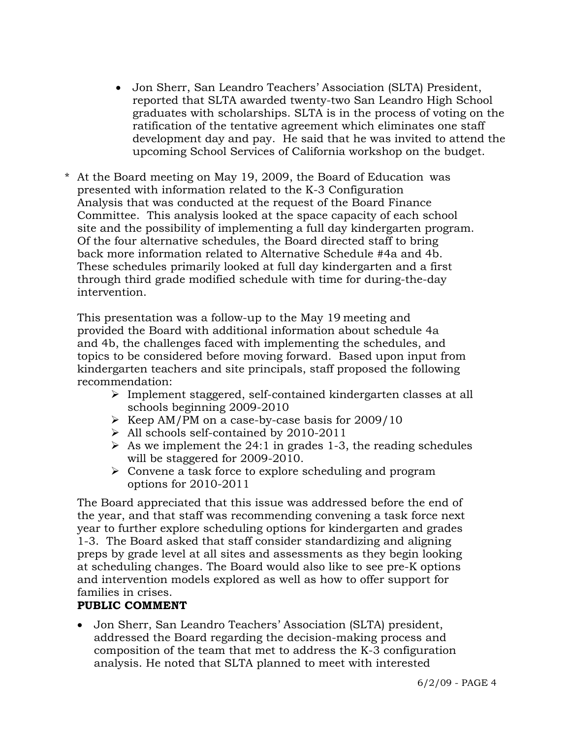- Jon Sherr, San Leandro Teachers' Association (SLTA) President, reported that SLTA awarded twenty-two San Leandro High School graduates with scholarships. SLTA is in the process of voting on the ratification of the tentative agreement which eliminates one staff development day and pay. He said that he was invited to attend the upcoming School Services of California workshop on the budget.
- \* At the Board meeting on May 19, 2009, the Board of Education was presented with information related to the K-3 Configuration Analysis that was conducted at the request of the Board Finance Committee. This analysis looked at the space capacity of each school site and the possibility of implementing a full day kindergarten program. Of the four alternative schedules, the Board directed staff to bring back more information related to Alternative Schedule #4a and 4b. These schedules primarily looked at full day kindergarten and a first through third grade modified schedule with time for during-the-day intervention.

 This presentation was a follow-up to the May 19 meeting and provided the Board with additional information about schedule 4a and 4b, the challenges faced with implementing the schedules, and topics to be considered before moving forward. Based upon input from kindergarten teachers and site principals, staff proposed the following recommendation:

- ¾ Implement staggered, self-contained kindergarten classes at all schools beginning 2009-2010
- $\triangleright$  Keep AM/PM on a case-by-case basis for 2009/10
- $\triangleright$  All schools self-contained by 2010-2011
- $\geq$  As we implement the 24:1 in grades 1-3, the reading schedules will be staggered for 2009-2010.
- $\triangleright$  Convene a task force to explore scheduling and program options for 2010-2011

 The Board appreciated that this issue was addressed before the end of the year, and that staff was recommending convening a task force next year to further explore scheduling options for kindergarten and grades 1-3. The Board asked that staff consider standardizing and aligning preps by grade level at all sites and assessments as they begin looking at scheduling changes. The Board would also like to see pre-K options and intervention models explored as well as how to offer support for families in crises.

# **PUBLIC COMMENT**

• Jon Sherr, San Leandro Teachers' Association (SLTA) president, addressed the Board regarding the decision-making process and composition of the team that met to address the K-3 configuration analysis. He noted that SLTA planned to meet with interested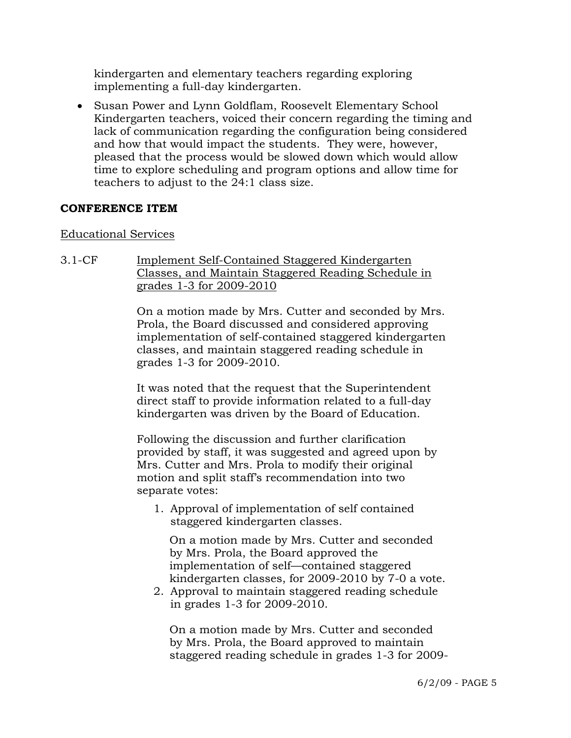kindergarten and elementary teachers regarding exploring implementing a full-day kindergarten.

• Susan Power and Lynn Goldflam, Roosevelt Elementary School Kindergarten teachers, voiced their concern regarding the timing and lack of communication regarding the configuration being considered and how that would impact the students. They were, however, pleased that the process would be slowed down which would allow time to explore scheduling and program options and allow time for teachers to adjust to the 24:1 class size.

#### **CONFERENCE ITEM**

#### Educational Services

3.1-CF Implement Self-Contained Staggered Kindergarten Classes, and Maintain Staggered Reading Schedule in grades 1-3 for 2009-2010

> On a motion made by Mrs. Cutter and seconded by Mrs. Prola, the Board discussed and considered approving implementation of self-contained staggered kindergarten classes, and maintain staggered reading schedule in grades 1-3 for 2009-2010.

It was noted that the request that the Superintendent direct staff to provide information related to a full-day kindergarten was driven by the Board of Education.

Following the discussion and further clarification provided by staff, it was suggested and agreed upon by Mrs. Cutter and Mrs. Prola to modify their original motion and split staff's recommendation into two separate votes:

1. Approval of implementation of self contained staggered kindergarten classes.

 On a motion made by Mrs. Cutter and seconded by Mrs. Prola, the Board approved the implementation of self—contained staggered kindergarten classes, for 2009-2010 by 7-0 a vote.

2. Approval to maintain staggered reading schedule in grades 1-3 for 2009-2010.

 On a motion made by Mrs. Cutter and seconded by Mrs. Prola, the Board approved to maintain staggered reading schedule in grades 1-3 for 2009-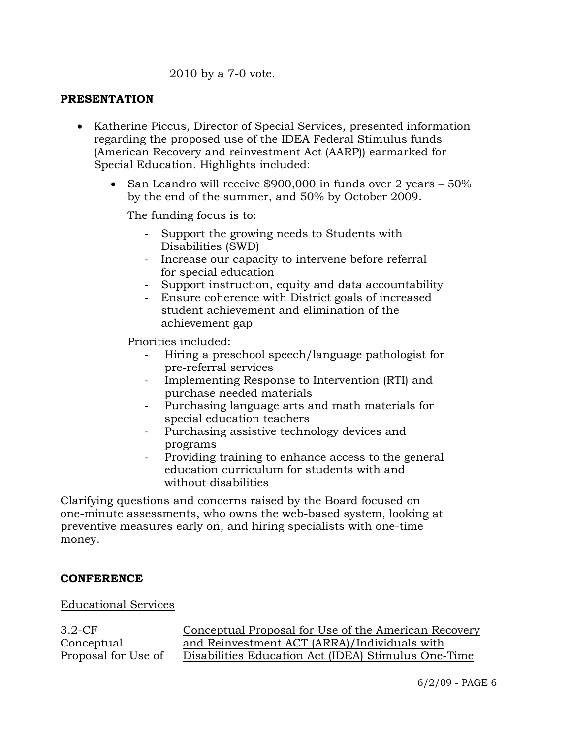#### 2010 by a 7-0 vote.

#### **PRESENTATION**

- Katherine Piccus, Director of Special Services, presented information regarding the proposed use of the IDEA Federal Stimulus funds (American Recovery and reinvestment Act (AARP)) earmarked for Special Education. Highlights included:
	- San Leandro will receive \$900,000 in funds over 2 years 50% by the end of the summer, and 50% by October 2009.

The funding focus is to:

- Support the growing needs to Students with Disabilities (SWD)
- Increase our capacity to intervene before referral for special education
- Support instruction, equity and data accountability
- Ensure coherence with District goals of increased student achievement and elimination of the achievement gap

Priorities included:

- Hiring a preschool speech/language pathologist for pre-referral services
- Implementing Response to Intervention (RTI) and purchase needed materials
- Purchasing language arts and math materials for special education teachers
- Purchasing assistive technology devices and programs
- Providing training to enhance access to the general education curriculum for students with and without disabilities

Clarifying questions and concerns raised by the Board focused on one-minute assessments, who owns the web-based system, looking at preventive measures early on, and hiring specialists with one-time money.

#### **CONFERENCE**

Educational Services

3.2-CF Conceptual Proposal for Use of Conceptual Proposal for Use of the American Recovery and Reinvestment ACT (ARRA)/Individuals with Disabilities Education Act (IDEA) Stimulus One-Time

6/2/09 - PAGE 6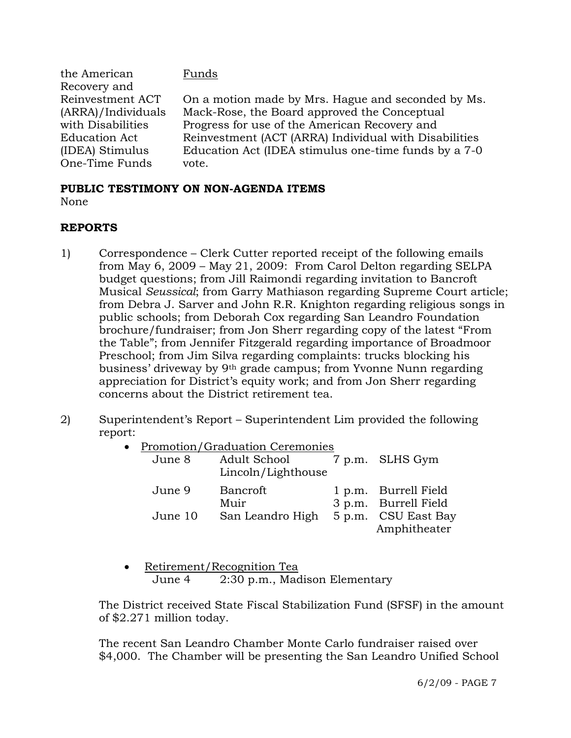| On a motion made by Mrs. Hague and seconded by Ms.    |
|-------------------------------------------------------|
|                                                       |
|                                                       |
| Reinvestment (ACT (ARRA) Individual with Disabilities |
| Education Act (IDEA stimulus one-time funds by a 7-0  |
|                                                       |
|                                                       |

#### **PUBLIC TESTIMONY ON NON-AGENDA ITEMS** None

#### **REPORTS**

- 1) Correspondence Clerk Cutter reported receipt of the following emails from May 6, 2009 – May 21, 2009: From Carol Delton regarding SELPA budget questions; from Jill Raimondi regarding invitation to Bancroft Musical *Seussical*; from Garry Mathiason regarding Supreme Court article; from Debra J. Sarver and John R.R. Knighton regarding religious songs in public schools; from Deborah Cox regarding San Leandro Foundation brochure/fundraiser; from Jon Sherr regarding copy of the latest "From the Table"; from Jennifer Fitzgerald regarding importance of Broadmoor Preschool; from Jim Silva regarding complaints: trucks blocking his business' driveway by 9th grade campus; from Yvonne Nunn regarding appreciation for District's equity work; and from Jon Sherr regarding concerns about the District retirement tea.
- 2) Superintendent's Report Superintendent Lim provided the following report:
	- Promotion/Graduation Ceremonies

| June 8  | Adult School<br>Lincoln/Lighthouse | 7 p.m. SLHS Gym                              |
|---------|------------------------------------|----------------------------------------------|
| June 9  | Bancroft<br>Muir                   | 1 p.m. Burrell Field<br>3 p.m. Burrell Field |
| June 10 | San Leandro High                   | 5 p.m. CSU East Bay                          |
|         |                                    | Amphitheater                                 |

• Retirement/Recognition Tea June 4 2:30 p.m., Madison Elementary

The District received State Fiscal Stabilization Fund (SFSF) in the amount of \$2.271 million today.

The recent San Leandro Chamber Monte Carlo fundraiser raised over \$4,000. The Chamber will be presenting the San Leandro Unified School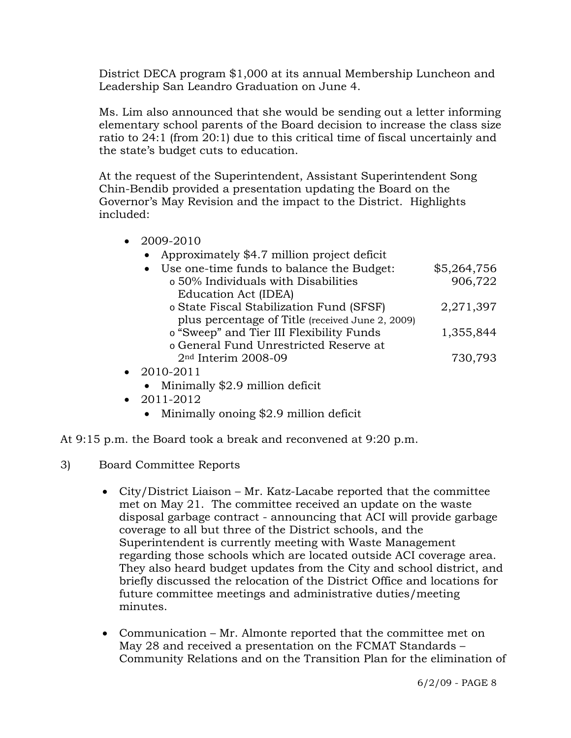District DECA program \$1,000 at its annual Membership Luncheon and Leadership San Leandro Graduation on June 4.

Ms. Lim also announced that she would be sending out a letter informing elementary school parents of the Board decision to increase the class size ratio to 24:1 (from 20:1) due to this critical time of fiscal uncertainly and the state's budget cuts to education.

At the request of the Superintendent, Assistant Superintendent Song Chin-Bendib provided a presentation updating the Board on the Governor's May Revision and the impact to the District. Highlights included:

- 2009-2010 • Approximately \$4.7 million project deficit • Use one-time funds to balance the Budget: \$5,264,756 o 50% Individuals with Disabilities 906,722 Education Act (IDEA) o State Fiscal Stabilization Fund (SFSF) 2,271,397 plus percentage of Title (received June 2, 2009) o "Sweep" and Tier III Flexibility Funds 1,355,844 o General Fund Unrestricted Reserve at 2<sup>nd</sup> Interim 2008-09 730,793 • 2010-2011 • Minimally \$2.9 million deficit
	- 2011-2012
		- Minimally onoing \$2.9 million deficit

At 9:15 p.m. the Board took a break and reconvened at 9:20 p.m.

- 3) Board Committee Reports
	- City/District Liaison Mr. Katz-Lacabe reported that the committee met on May 21. The committee received an update on the waste disposal garbage contract - announcing that ACI will provide garbage coverage to all but three of the District schools, and the Superintendent is currently meeting with Waste Management regarding those schools which are located outside ACI coverage area. They also heard budget updates from the City and school district, and briefly discussed the relocation of the District Office and locations for future committee meetings and administrative duties/meeting minutes.
	- Communication Mr. Almonte reported that the committee met on May 28 and received a presentation on the FCMAT Standards – Community Relations and on the Transition Plan for the elimination of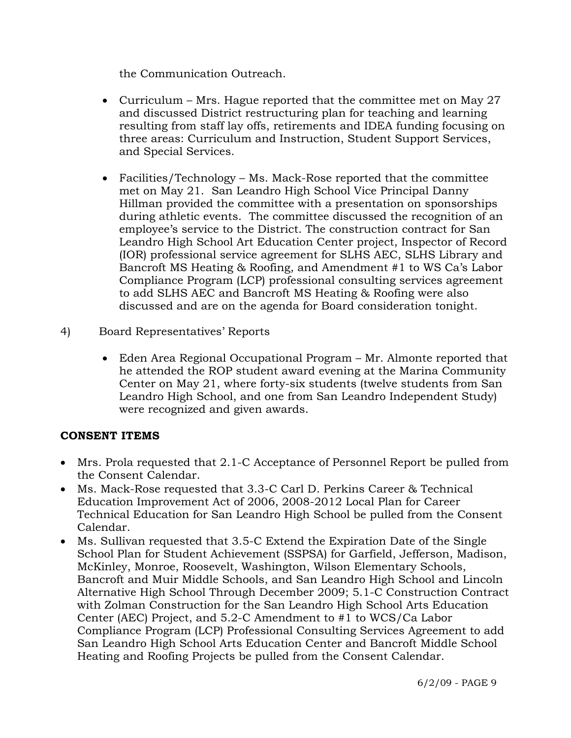the Communication Outreach.

- Curriculum Mrs. Hague reported that the committee met on May 27 and discussed District restructuring plan for teaching and learning resulting from staff lay offs, retirements and IDEA funding focusing on three areas: Curriculum and Instruction, Student Support Services, and Special Services.
- Facilities/Technology Ms. Mack-Rose reported that the committee met on May 21. San Leandro High School Vice Principal Danny Hillman provided the committee with a presentation on sponsorships during athletic events. The committee discussed the recognition of an employee's service to the District. The construction contract for San Leandro High School Art Education Center project, Inspector of Record (IOR) professional service agreement for SLHS AEC, SLHS Library and Bancroft MS Heating & Roofing, and Amendment #1 to WS Ca's Labor Compliance Program (LCP) professional consulting services agreement to add SLHS AEC and Bancroft MS Heating & Roofing were also discussed and are on the agenda for Board consideration tonight.
- 4) Board Representatives' Reports
	- Eden Area Regional Occupational Program Mr. Almonte reported that he attended the ROP student award evening at the Marina Community Center on May 21, where forty-six students (twelve students from San Leandro High School, and one from San Leandro Independent Study) were recognized and given awards.

# **CONSENT ITEMS**

- Mrs. Prola requested that 2.1-C Acceptance of Personnel Report be pulled from the Consent Calendar.
- Ms. Mack-Rose requested that 3.3-C Carl D. Perkins Career & Technical Education Improvement Act of 2006, 2008-2012 Local Plan for Career Technical Education for San Leandro High School be pulled from the Consent Calendar.
- Ms. Sullivan requested that 3.5-C Extend the Expiration Date of the Single School Plan for Student Achievement (SSPSA) for Garfield, Jefferson, Madison, McKinley, Monroe, Roosevelt, Washington, Wilson Elementary Schools, Bancroft and Muir Middle Schools, and San Leandro High School and Lincoln Alternative High School Through December 2009; 5.1-C Construction Contract with Zolman Construction for the San Leandro High School Arts Education Center (AEC) Project, and 5.2-C Amendment to #1 to WCS/Ca Labor Compliance Program (LCP) Professional Consulting Services Agreement to add San Leandro High School Arts Education Center and Bancroft Middle School Heating and Roofing Projects be pulled from the Consent Calendar.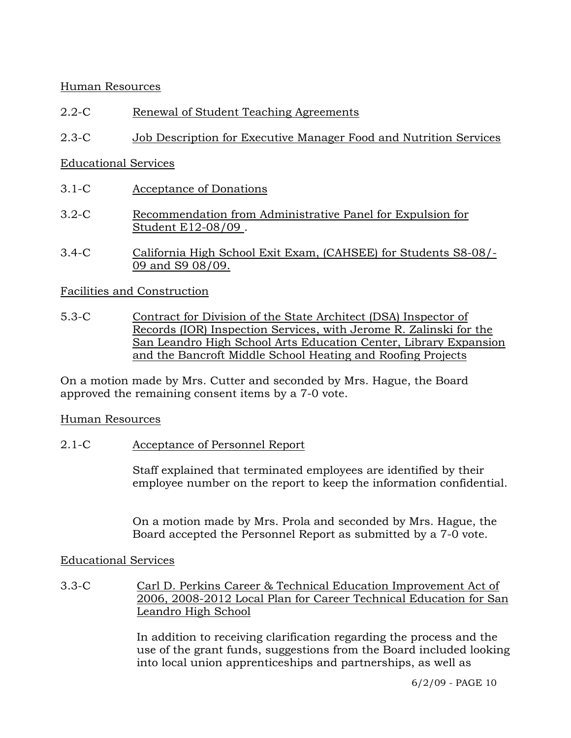## Human Resources

- 2.2-C Renewal of Student Teaching Agreements
- 2.3-C Job Description for Executive Manager Food and Nutrition Services

## Educational Services

- 3.1-C Acceptance of Donations
- 3.2-C Recommendation from Administrative Panel for Expulsion for Student E12-08/09 .
- 3.4-C California High School Exit Exam, (CAHSEE) for Students S8-08/- 09 and S9 08/09.

## Facilities and Construction

5.3-C Contract for Division of the State Architect (DSA) Inspector of Records (IOR) Inspection Services, with Jerome R. Zalinski for the San Leandro High School Arts Education Center, Library Expansion and the Bancroft Middle School Heating and Roofing Projects

On a motion made by Mrs. Cutter and seconded by Mrs. Hague, the Board approved the remaining consent items by a 7-0 vote.

## Human Resources

2.1-C Acceptance of Personnel Report

Staff explained that terminated employees are identified by their employee number on the report to keep the information confidential.

On a motion made by Mrs. Prola and seconded by Mrs. Hague, the Board accepted the Personnel Report as submitted by a 7-0 vote.

## Educational Services

3.3-C Carl D. Perkins Career & Technical Education Improvement Act of 2006, 2008-2012 Local Plan for Career Technical Education for San Leandro High School

> In addition to receiving clarification regarding the process and the use of the grant funds, suggestions from the Board included looking into local union apprenticeships and partnerships, as well as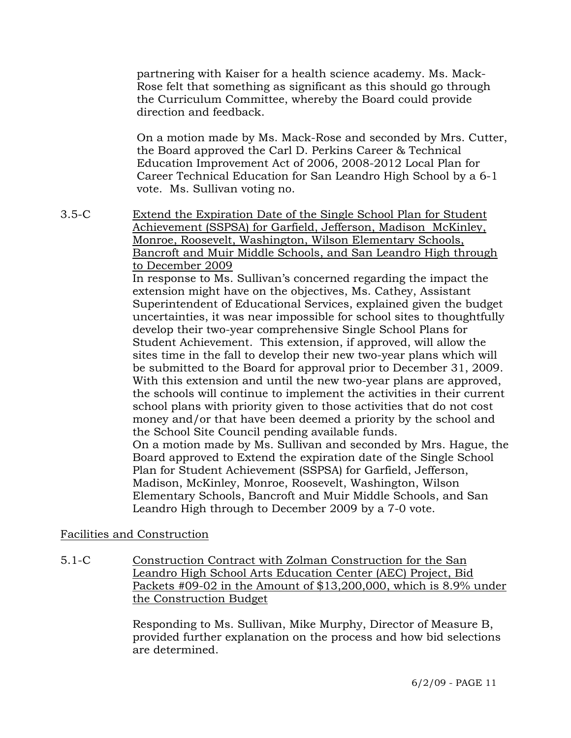partnering with Kaiser for a health science academy. Ms. Mack-Rose felt that something as significant as this should go through the Curriculum Committee, whereby the Board could provide direction and feedback.

On a motion made by Ms. Mack-Rose and seconded by Mrs. Cutter, the Board approved the Carl D. Perkins Career & Technical Education Improvement Act of 2006, 2008-2012 Local Plan for Career Technical Education for San Leandro High School by a 6-1 vote. Ms. Sullivan voting no.

3.5-C Extend the Expiration Date of the Single School Plan for Student Achievement (SSPSA) for Garfield, Jefferson, Madison McKinley, Monroe, Roosevelt, Washington, Wilson Elementary Schools, Bancroft and Muir Middle Schools, and San Leandro High through to December 2009

In response to Ms. Sullivan's concerned regarding the impact the extension might have on the objectives, Ms. Cathey, Assistant Superintendent of Educational Services, explained given the budget uncertainties, it was near impossible for school sites to thoughtfully develop their two-year comprehensive Single School Plans for Student Achievement. This extension, if approved, will allow the sites time in the fall to develop their new two-year plans which will be submitted to the Board for approval prior to December 31, 2009. With this extension and until the new two-year plans are approved, the schools will continue to implement the activities in their current school plans with priority given to those activities that do not cost money and/or that have been deemed a priority by the school and the School Site Council pending available funds. On a motion made by Ms. Sullivan and seconded by Mrs. Hague, the Board approved to Extend the expiration date of the Single School Plan for Student Achievement (SSPSA) for Garfield, Jefferson, Madison, McKinley, Monroe, Roosevelt, Washington, Wilson Elementary Schools, Bancroft and Muir Middle Schools, and San Leandro High through to December 2009 by a 7-0 vote.

## Facilities and Construction

5.1-C Construction Contract with Zolman Construction for the San Leandro High School Arts Education Center (AEC) Project, Bid Packets #09-02 in the Amount of \$13,200,000, which is 8.9% under the Construction Budget

> Responding to Ms. Sullivan, Mike Murphy, Director of Measure B, provided further explanation on the process and how bid selections are determined.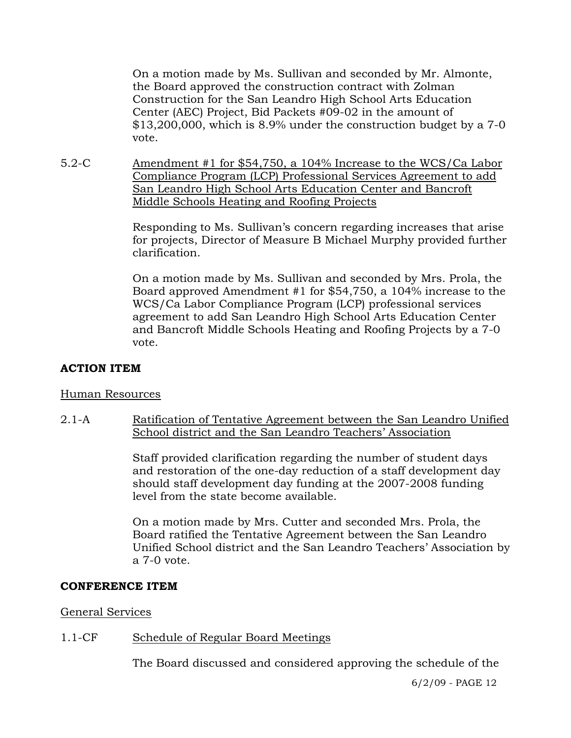On a motion made by Ms. Sullivan and seconded by Mr. Almonte, the Board approved the construction contract with Zolman Construction for the San Leandro High School Arts Education Center (AEC) Project, Bid Packets #09-02 in the amount of \$13,200,000, which is 8.9% under the construction budget by a 7-0 vote.

5.2-C Amendment #1 for \$54,750, a 104% Increase to the WCS/Ca Labor Compliance Program (LCP) Professional Services Agreement to add San Leandro High School Arts Education Center and Bancroft Middle Schools Heating and Roofing Projects

> Responding to Ms. Sullivan's concern regarding increases that arise for projects, Director of Measure B Michael Murphy provided further clarification.

> On a motion made by Ms. Sullivan and seconded by Mrs. Prola, the Board approved Amendment #1 for \$54,750, a 104% increase to the WCS/Ca Labor Compliance Program (LCP) professional services agreement to add San Leandro High School Arts Education Center and Bancroft Middle Schools Heating and Roofing Projects by a 7-0 vote.

# **ACTION ITEM**

## Human Resources

2.1-A Ratification of Tentative Agreement between the San Leandro Unified School district and the San Leandro Teachers' Association

> Staff provided clarification regarding the number of student days and restoration of the one-day reduction of a staff development day should staff development day funding at the 2007-2008 funding level from the state become available.

On a motion made by Mrs. Cutter and seconded Mrs. Prola, the Board ratified the Tentative Agreement between the San Leandro Unified School district and the San Leandro Teachers' Association by a 7-0 vote.

#### **CONFERENCE ITEM**

## General Services

# 1.1-CF Schedule of Regular Board Meetings

The Board discussed and considered approving the schedule of the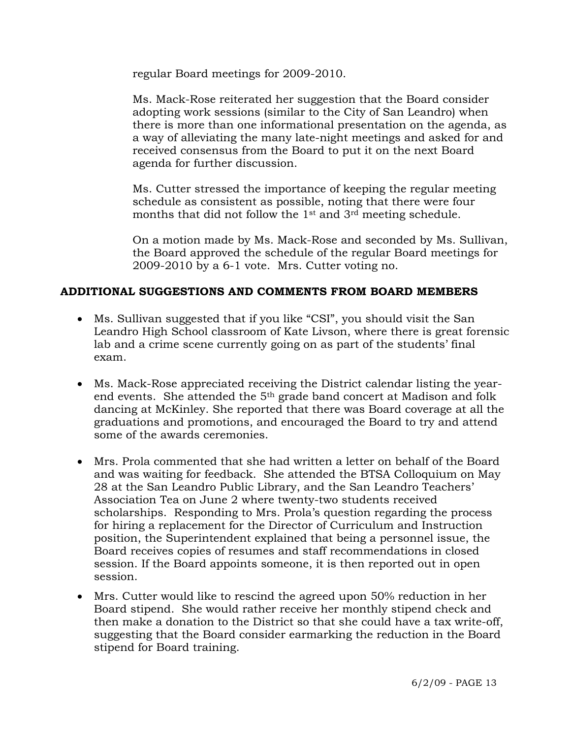regular Board meetings for 2009-2010.

Ms. Mack-Rose reiterated her suggestion that the Board consider adopting work sessions (similar to the City of San Leandro) when there is more than one informational presentation on the agenda, as a way of alleviating the many late-night meetings and asked for and received consensus from the Board to put it on the next Board agenda for further discussion.

Ms. Cutter stressed the importance of keeping the regular meeting schedule as consistent as possible, noting that there were four months that did not follow the 1st and 3rd meeting schedule.

On a motion made by Ms. Mack-Rose and seconded by Ms. Sullivan, the Board approved the schedule of the regular Board meetings for 2009-2010 by a 6-1 vote. Mrs. Cutter voting no.

# **ADDITIONAL SUGGESTIONS AND COMMENTS FROM BOARD MEMBERS**

- Ms. Sullivan suggested that if you like "CSI", you should visit the San Leandro High School classroom of Kate Livson, where there is great forensic lab and a crime scene currently going on as part of the students' final exam.
- Ms. Mack-Rose appreciated receiving the District calendar listing the yearend events. She attended the 5th grade band concert at Madison and folk dancing at McKinley. She reported that there was Board coverage at all the graduations and promotions, and encouraged the Board to try and attend some of the awards ceremonies.
- Mrs. Prola commented that she had written a letter on behalf of the Board and was waiting for feedback. She attended the BTSA Colloquium on May 28 at the San Leandro Public Library, and the San Leandro Teachers' Association Tea on June 2 where twenty-two students received scholarships. Responding to Mrs. Prola's question regarding the process for hiring a replacement for the Director of Curriculum and Instruction position, the Superintendent explained that being a personnel issue, the Board receives copies of resumes and staff recommendations in closed session. If the Board appoints someone, it is then reported out in open session.
- Mrs. Cutter would like to rescind the agreed upon 50% reduction in her Board stipend. She would rather receive her monthly stipend check and then make a donation to the District so that she could have a tax write-off, suggesting that the Board consider earmarking the reduction in the Board stipend for Board training.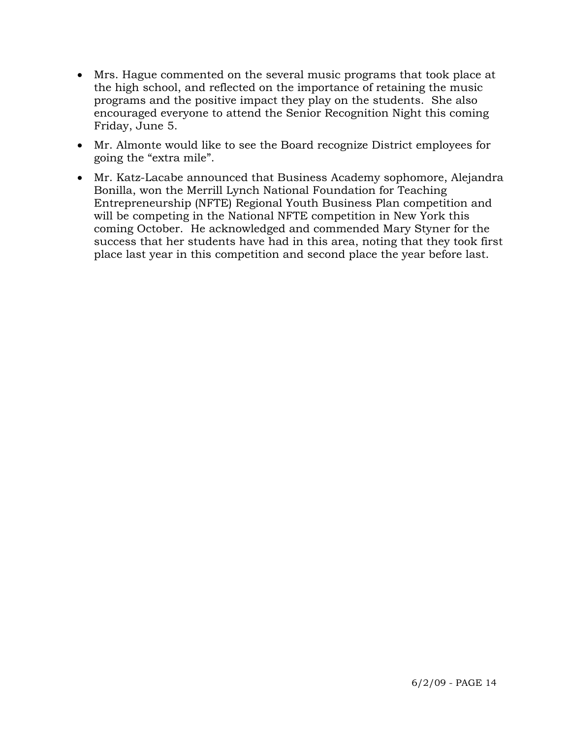- Mrs. Hague commented on the several music programs that took place at the high school, and reflected on the importance of retaining the music programs and the positive impact they play on the students. She also encouraged everyone to attend the Senior Recognition Night this coming Friday, June 5.
- Mr. Almonte would like to see the Board recognize District employees for going the "extra mile".
- Mr. Katz-Lacabe announced that Business Academy sophomore, Alejandra Bonilla, won the Merrill Lynch National Foundation for Teaching Entrepreneurship (NFTE) Regional Youth Business Plan competition and will be competing in the National NFTE competition in New York this coming October. He acknowledged and commended Mary Styner for the success that her students have had in this area, noting that they took first place last year in this competition and second place the year before last.